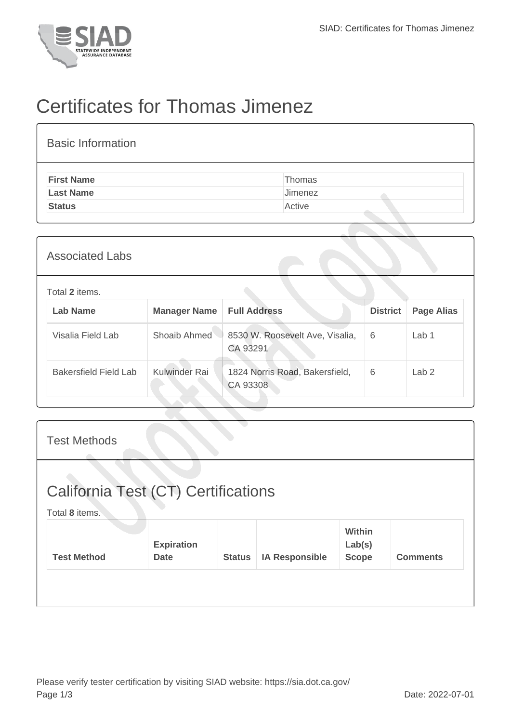

## Certificates for Thomas Jimenez

| <b>Basic Information</b> |         |
|--------------------------|---------|
| <b>First Name</b>        | Thomas  |
| <b>Last Name</b>         | Jimenez |
| <b>Status</b>            | Active  |

| <b>Associated Labs</b>       |                     |                                             |                 |                   |
|------------------------------|---------------------|---------------------------------------------|-----------------|-------------------|
| Total 2 items.               |                     |                                             |                 |                   |
| <b>Lab Name</b>              | <b>Manager Name</b> | <b>Full Address</b>                         | <b>District</b> | <b>Page Alias</b> |
| Visalia Field Lab            | Shoaib Ahmed        | 8530 W. Roosevelt Ave, Visalia,<br>CA 93291 | 6               | Lab 1             |
| <b>Bakersfield Field Lab</b> | Kulwinder Rai       | 1824 Norris Road, Bakersfield,<br>CA 93308  | 6               | Lab <sub>2</sub>  |
|                              |                     |                                             |                 |                   |

| <b>Test Methods</b>                                   |                                  |               |                       |                                  |                 |
|-------------------------------------------------------|----------------------------------|---------------|-----------------------|----------------------------------|-----------------|
| California Test (CT) Certifications<br>Total 8 items. |                                  |               |                       |                                  |                 |
| <b>Test Method</b>                                    | <b>Expiration</b><br><b>Date</b> | <b>Status</b> | <b>IA Responsible</b> | Within<br>Lab(s)<br><b>Scope</b> | <b>Comments</b> |
|                                                       |                                  |               |                       |                                  |                 |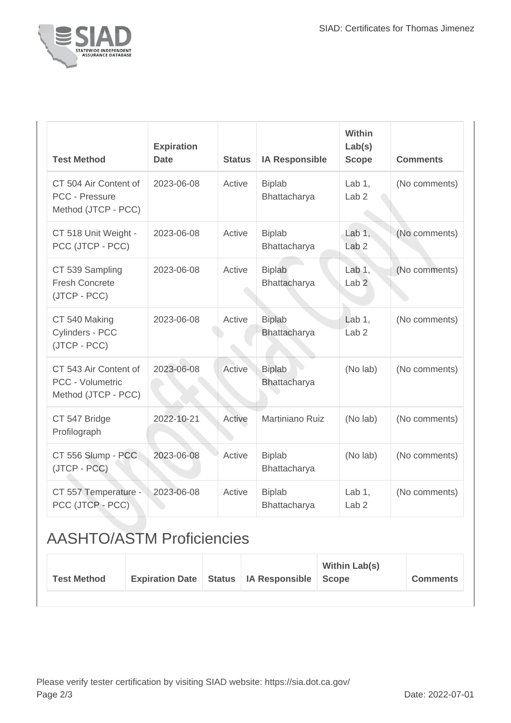

| <b>Test Method</b>                                                      | <b>Expiration</b><br><b>Date</b> | <b>Status</b> | <b>IA Responsible</b>         | Within<br>Lab(s)<br><b>Scope</b> | <b>Comments</b> |
|-------------------------------------------------------------------------|----------------------------------|---------------|-------------------------------|----------------------------------|-----------------|
| CT 504 Air Content of<br>PCC - Pressure<br>Method (JTCP - PCC)          | 2023-06-08                       | Active        | <b>Biplab</b><br>Bhattacharya | Lab 1,<br>Lab <sub>2</sub>       | (No comments)   |
| CT 518 Unit Weight -<br>PCC (JTCP - PCC)                                | 2023-06-08                       | Active        | <b>Biplab</b><br>Bhattacharya | Lab $1$ ,<br>Lab <sub>2</sub>    | (No comments)   |
| CT 539 Sampling<br><b>Fresh Concrete</b><br>(JTCP - PCC)                | 2023-06-08                       | Active        | <b>Biplab</b><br>Bhattacharya | Lab 1,<br>Lab <sub>2</sub>       | (No comments)   |
| CT 540 Making<br>Cylinders - PCC<br>(JTCP - PCC)                        | 2023-06-08                       | Active        | <b>Biplab</b><br>Bhattacharya | Lab 1,<br>Lab <sub>2</sub>       | (No comments)   |
| CT 543 Air Content of<br><b>PCC - Volumetric</b><br>Method (JTCP - PCC) | 2023-06-08                       | Active        | <b>Biplab</b><br>Bhattacharya | (No lab)                         | (No comments)   |
| CT 547 Bridge<br>Profilograph                                           | 2022-10-21                       | Active        | Martiniano Ruiz               | (No lab)                         | (No comments)   |
| CT 556 Slump - PCC<br>(JTCP - PCC)                                      | 2023-06-08                       | Active        | <b>Biplab</b><br>Bhattacharya | (No lab)                         | (No comments)   |
| CT 557 Temperature -<br>PCC (JTCP - PCC)                                | 2023-06-08                       | Active        | <b>Biplab</b><br>Bhattacharya | Lab 1,<br>Lab <sub>2</sub>       | (No comments)   |

## AASHTO/ASTM Proficiencies

| Expiration Date   Status   IA Responsible   Scope<br><b>Test Method</b> |  | <b>Within Lab(s)</b> | <b>Comments</b> |  |
|-------------------------------------------------------------------------|--|----------------------|-----------------|--|
|-------------------------------------------------------------------------|--|----------------------|-----------------|--|